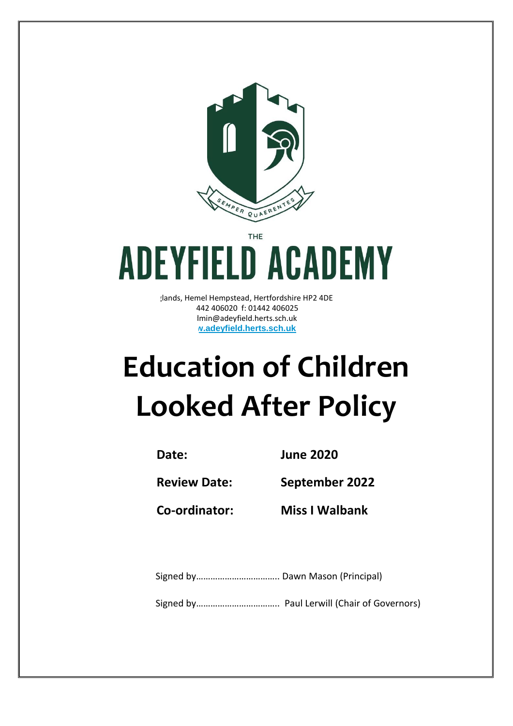

**THE** 

# **ADEYFIELD ACADEMY**

dands, Hemel Hempstead, Hertfordshire HP2 4DE t: 01442 406020 f: 01442 406025 lmin@adeyfield.herts.sch.uk **www.adeyfield.herts.sch.uk**

# **Education of Children Looked After Policy**

**Date: June 2020**

**Review Date: September 2022**

**Co-ordinator: Miss I Walbank**

Signed by…………………………….. Dawn Mason (Principal)

Signed by…………………………….. Paul Lerwill (Chair of Governors)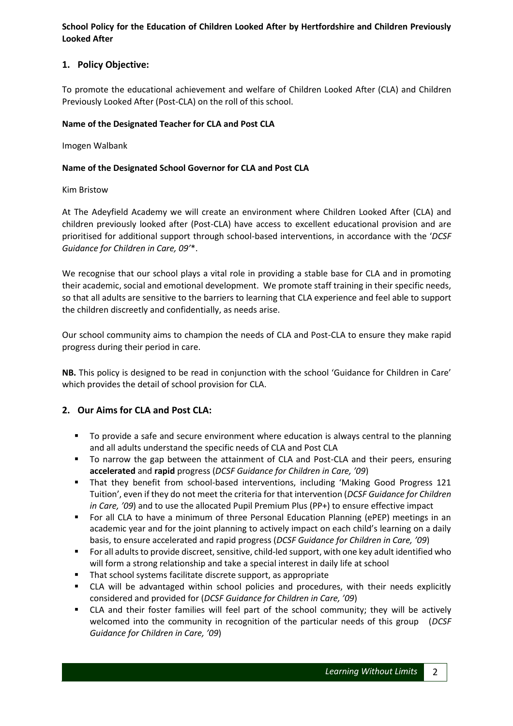**School Policy for the Education of Children Looked After by Hertfordshire and Children Previously Looked After**

# **1. Policy Objective:**

To promote the educational achievement and welfare of Children Looked After (CLA) and Children Previously Looked After (Post-CLA) on the roll of this school.

#### **Name of the Designated Teacher for CLA and Post CLA**

Imogen Walbank

#### **Name of the Designated School Governor for CLA and Post CLA**

#### Kim Bristow

At The Adeyfield Academy we will create an environment where Children Looked After (CLA) and children previously looked after (Post-CLA) have access to excellent educational provision and are prioritised for additional support through school-based interventions, in accordance with the '*DCSF Guidance for Children in Care, 09'*\*.

We recognise that our school plays a vital role in providing a stable base for CLA and in promoting their academic, social and emotional development. We promote staff training in their specific needs, so that all adults are sensitive to the barriers to learning that CLA experience and feel able to support the children discreetly and confidentially, as needs arise.

Our school community aims to champion the needs of CLA and Post-CLA to ensure they make rapid progress during their period in care.

**NB.** This policy is designed to be read in conjunction with the school 'Guidance for Children in Care' which provides the detail of school provision for CLA.

# **2. Our Aims for CLA and Post CLA:**

- To provide a safe and secure environment where education is always central to the planning and all adults understand the specific needs of CLA and Post CLA
- To narrow the gap between the attainment of CLA and Post-CLA and their peers, ensuring **accelerated** and **rapid** progress (*DCSF Guidance for Children in Care, '09*)
- That they benefit from school-based interventions, including 'Making Good Progress 121 Tuition', even if they do not meet the criteria for that intervention (*DCSF Guidance for Children in Care, '09*) and to use the allocated Pupil Premium Plus (PP+) to ensure effective impact
- For all CLA to have a minimum of three Personal Education Planning (ePEP) meetings in an academic year and for the joint planning to actively impact on each child's learning on a daily basis, to ensure accelerated and rapid progress (*DCSF Guidance for Children in Care, '09*)
- For all adults to provide discreet, sensitive, child-led support, with one key adult identified who will form a strong relationship and take a special interest in daily life at school
- That school systems facilitate discrete support, as appropriate
- CLA will be advantaged within school policies and procedures, with their needs explicitly considered and provided for (*DCSF Guidance for Children in Care, '09*)
- CLA and their foster families will feel part of the school community; they will be actively welcomed into the community in recognition of the particular needs of this group (*DCSF Guidance for Children in Care, '09*)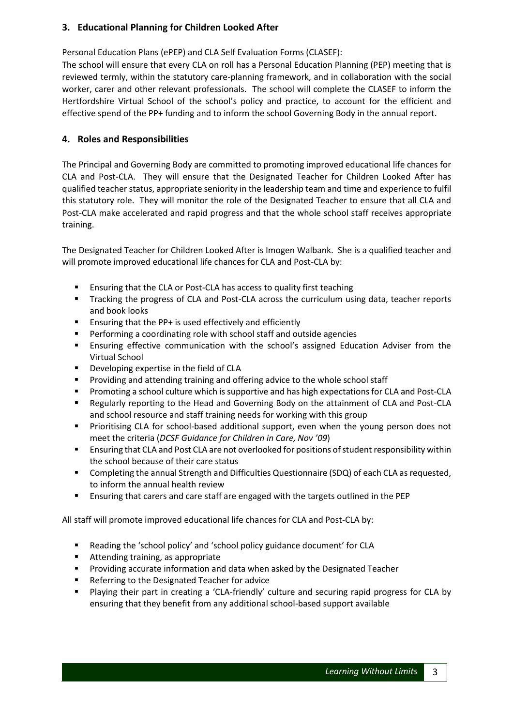# **3. Educational Planning for Children Looked After**

Personal Education Plans (ePEP) and CLA Self Evaluation Forms (CLASEF):

The school will ensure that every CLA on roll has a Personal Education Planning (PEP) meeting that is reviewed termly, within the statutory care-planning framework, and in collaboration with the social worker, carer and other relevant professionals. The school will complete the CLASEF to inform the Hertfordshire Virtual School of the school's policy and practice, to account for the efficient and effective spend of the PP+ funding and to inform the school Governing Body in the annual report.

# **4. Roles and Responsibilities**

The Principal and Governing Body are committed to promoting improved educational life chances for CLA and Post-CLA. They will ensure that the Designated Teacher for Children Looked After has qualified teacher status, appropriate seniority in the leadership team and time and experience to fulfil this statutory role. They will monitor the role of the Designated Teacher to ensure that all CLA and Post-CLA make accelerated and rapid progress and that the whole school staff receives appropriate training.

The Designated Teacher for Children Looked After is Imogen Walbank. She is a qualified teacher and will promote improved educational life chances for CLA and Post-CLA by:

- Ensuring that the CLA or Post-CLA has access to quality first teaching
- Tracking the progress of CLA and Post-CLA across the curriculum using data, teacher reports and book looks
- Ensuring that the PP+ is used effectively and efficiently
- Performing a coordinating role with school staff and outside agencies
- Ensuring effective communication with the school's assigned Education Adviser from the Virtual School
- **Developing expertise in the field of CLA**
- Providing and attending training and offering advice to the whole school staff
- Promoting a school culture which is supportive and has high expectations for CLA and Post-CLA
- **EXECUTE:** Regularly reporting to the Head and Governing Body on the attainment of CLA and Post-CLA and school resource and staff training needs for working with this group
- Prioritising CLA for school-based additional support, even when the young person does not meet the criteria (*DCSF Guidance for Children in Care, Nov '09*)
- Ensuring that CLA and Post CLA are not overlooked for positions of student responsibility within the school because of their care status
- Completing the annual Strength and Difficulties Questionnaire (SDQ) of each CLA as requested, to inform the annual health review
- Ensuring that carers and care staff are engaged with the targets outlined in the PEP

All staff will promote improved educational life chances for CLA and Post-CLA by:

- Reading the 'school policy' and 'school policy guidance document' for CLA
- Attending training, as appropriate
- **Providing accurate information and data when asked by the Designated Teacher**
- Referring to the Designated Teacher for advice
- Playing their part in creating a 'CLA-friendly' culture and securing rapid progress for CLA by ensuring that they benefit from any additional school-based support available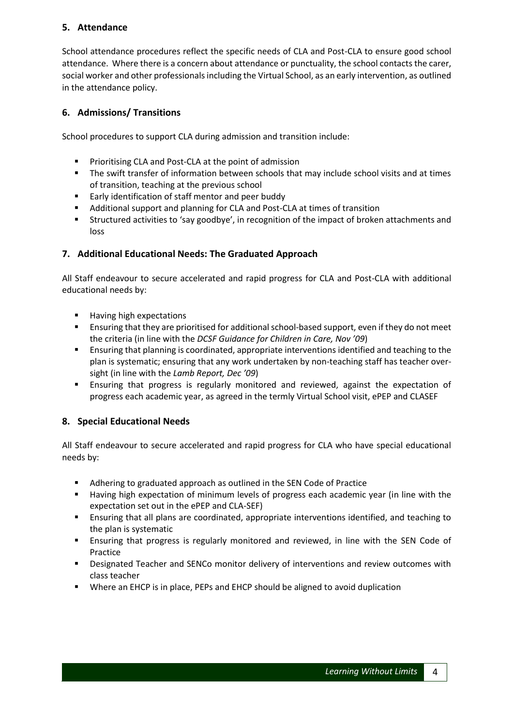# **5. Attendance**

School attendance procedures reflect the specific needs of CLA and Post-CLA to ensure good school attendance. Where there is a concern about attendance or punctuality, the school contacts the carer, social worker and other professionals including the Virtual School, as an early intervention, as outlined in the attendance policy.

# **6. Admissions/ Transitions**

School procedures to support CLA during admission and transition include:

- **Prioritising CLA and Post-CLA at the point of admission**
- The swift transfer of information between schools that may include school visits and at times of transition, teaching at the previous school
- **Early identification of staff mentor and peer buddy**
- Additional support and planning for CLA and Post-CLA at times of transition
- Structured activities to 'say goodbye', in recognition of the impact of broken attachments and loss

# **7. Additional Educational Needs: The Graduated Approach**

All Staff endeavour to secure accelerated and rapid progress for CLA and Post-CLA with additional educational needs by:

- **Having high expectations**
- Ensuring that they are prioritised for additional school-based support, even if they do not meet the criteria (in line with the *DCSF Guidance for Children in Care, Nov '09*)
- Ensuring that planning is coordinated, appropriate interventions identified and teaching to the plan is systematic; ensuring that any work undertaken by non-teaching staff has teacher oversight (in line with the *Lamb Report, Dec '09*)
- Ensuring that progress is regularly monitored and reviewed, against the expectation of progress each academic year, as agreed in the termly Virtual School visit, ePEP and CLASEF

# **8. Special Educational Needs**

All Staff endeavour to secure accelerated and rapid progress for CLA who have special educational needs by:

- Adhering to graduated approach as outlined in the SEN Code of Practice
- Having high expectation of minimum levels of progress each academic year (in line with the expectation set out in the ePEP and CLA-SEF)
- Ensuring that all plans are coordinated, appropriate interventions identified, and teaching to the plan is systematic
- Ensuring that progress is regularly monitored and reviewed, in line with the SEN Code of Practice
- **•** Designated Teacher and SENCo monitor delivery of interventions and review outcomes with class teacher
- Where an EHCP is in place, PEPs and EHCP should be aligned to avoid duplication